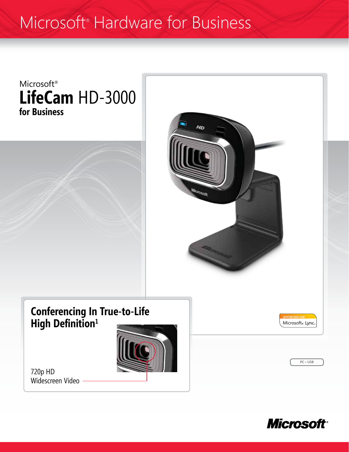# Microsoft® Hardware for Business